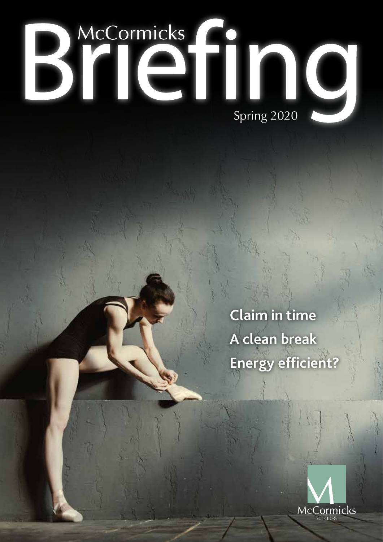

**Claim in time A clean break Energy efficient?**

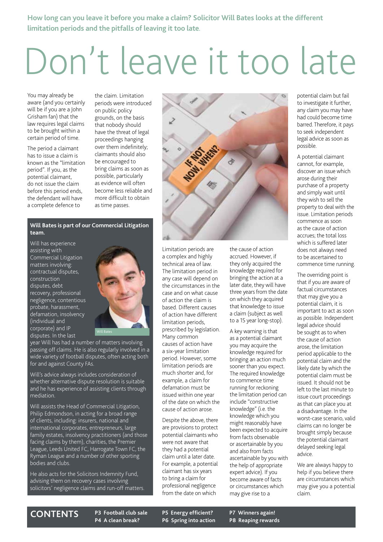**How long can you leave it before you make a claim? Solicitor Will Bates looks at the different limitation periods and the pitfalls of leaving it too late.**

## Don't leave it too late

You may already be aware (and you certainly will be if you are a John Grisham fan) that the law requires legal claims to be brought within a certain period of time.

The period a claimant has to issue a claim is known as the "limitation period". If you, as the potential claimant, do not issue the claim before this period ends, the defendant will have a complete defence to

the claim. Limitation periods were introduced on public policy grounds, on the basis that nobody should have the threat of legal proceedings hanging over them indefinitely; claimants should also be encouraged to bring claims as soon as possible, particularly as evidence will often become less reliable and more difficult to obtain as time passes.

#### **Will Bates is part of our Commercial Litigation team.**

Will has experience assisting with Commercial Litigation matters involving: contractual disputes, construction disputes, debt recovery, professional negligence, contentious probate, harassment, defamation, insolvency (individual and corporate) and IP disputes. In the last



year Will has had a number of matters involving passing off claims. He is also regularly involved in a wide variety of football disputes, often acting both for and against County FAs.

Will's advice always includes consideration of whether alternative dispute resolution is suitable and he has experience of assisting clients through mediation.

Will assists the Head of Commercial Litigation, Philip Edmondson, in acting for a broad range of clients, including: insurers, national and international corporates, entrepreneurs, large family estates, insolvency practitioners (and those facing claims by them), charities, the Premier League, Leeds United FC, Harrogate Town FC, the Ryman League and a number of other sporting bodies and clubs.

He also acts for the Solicitors Indemnity Fund, advising them on recovery cases involving solicitors' negligence claims and run-off matters.



Limitation periods are a complex and highly technical area of law. The limitation period in any case will depend on the circumstances in the case and on what cause of action the claim is based. Different causes of action have different limitation periods, prescribed by legislation. Many common causes of action have a six-year limitation period. However, some limitation periods are much shorter and, for example, a claim for defamation must be issued within one year of the date on which the cause of action arose.

Despite the above, there are provisions to protect potential claimants who were not aware that they had a potential claim until a later date. For example, a potential claimant has six years to bring a claim for professional negligence from the date on which

the cause of action accrued. However, if they only acquired the knowledge required for bringing the action at a later date, they will have three years from the date on which they acquired that knowledge to issue a claim (subject as well to a 15 year long-stop).

A key warning is that as a potential claimant you may acquire the knowledge required for bringing an action much sooner than you expect. The required knowledge to commence time running for reckoning the limitation period can include "constructive knowledge" (i.e. the knowledge which you might reasonably have been expected to acquire from facts observable or ascertainable by you and also from facts ascertainable by you with the help of appropriate expert advice). If you become aware of facts or circumstances which may give rise to a

potential claim but fail to investigate it further, any claim you may have had could become time barred. Therefore, it pays to seek independent legal advice as soon as possible.

A potential claimant cannot, for example, discover an issue which arose during their purchase of a property and simply wait until they wish to sell the property to deal with the issue. Limitation periods commence as soon as the cause of action accrues; the total loss which is suffered later does not always need to be ascertained to commence time running.

The overriding point is that if you are aware of factual circumstances that may give you a potential claim, it is important to act as soon as possible. Independent legal advice should be sought as to when the cause of action arose, the limitation period applicable to the potential claim and the likely date by which the potential claim must be issued. It should not be left to the last minute to issue court proceedings as that can place you at a disadvantage. In the worst-case scenario, valid claims can no longer be brought simply because the potential claimant delayed seeking legal advice.

We are always happy to help if you believe there are circumstances which may give you a potential claim.

### **CONTENTS P3 Football club sale**

**P4 A clean break?**

**P5 Energy efficient? P6 Spring into action** **P7 Winners again! P8 Reaping rewards**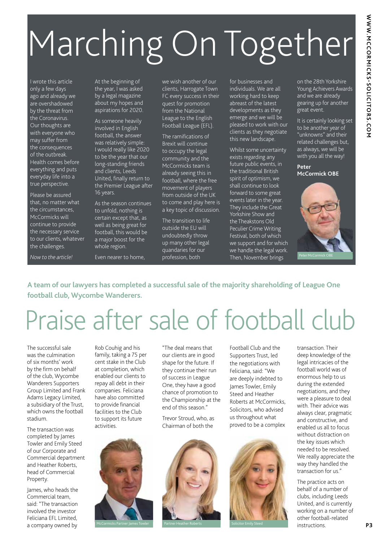# Marching On Together

I wrote this article only a few days ago and already we are overshadowed by the threat from the Coronavirus. Our thoughts are with everyone who may suffer from the consequences of the outbreak. Health comes before everything and puts everyday life into a true perspective.

Please be assured that, no matter what the circumstances, McCormicks will continue to provide the necessary service to our clients, whatever the challenges.

*Now to the article!* 

At the beginning of the year, I was asked by a legal magazine about my hopes and aspirations for 2020.

As someone heavily involved in English football, the answer was relatively simple: I would really like 2020 to be the year that our long-standing friends and clients, Leeds United, finally return to the Premier League after 16 years.

As the season continues to unfold, nothing is certain except that, as well as being great for football, this would be a major boost for the whole region.

Even nearer to home,

we wish another of our clients, Harrogate Town FC every success in their quest for promotion from the National League to the English Football League (EFL).

The ramifications of Brexit will continue to occupy the legal community and the McCormicks team is already seeing this in football, where the free movement of players from outside of the UK to come and play here is a key topic of discussion.

The transition to life outside the EU will undoubtedly throw up many other legal quandaries for our profession, both

for businesses and individuals. We are all working hard to keep abreast of the latest developments as they emerge and we will be pleased to work with our clients as they negotiate this new landscape.

Whilst some uncertainty exists regarding any future public events, in the traditional British spirit of optimism, we shall continue to look forward to some great events later in the year. They include the Great Yorkshire Show and the Theakstons Old Peculier Crime Writing Festival, both of which we support and for which we handle the legal work. Then, November brings

on the 28th Yorkshire Young Achievers Awards and we are already gearing up for another great event.

It is certainly looking set to be another year of "unknowns" and their related challenges but, as always, we will be with you all the way!

### **Peter McCormick OBE**



**A team of our lawyers has completed a successful sale of the majority shareholding of League One football club, Wycombe Wanderers.**

## Praise after sale of football club

The successful sale was the culmination of six months' work by the firm on behalf of the club, Wycombe Wanderers Supporters Group Limited and Frank Adams Legacy Limited, a subsidiary of the Trust, which owns the football stadium.

The transaction was completed by James Towler and Emily Steed of our Corporate and Commercial department and Heather Roberts, head of Commercial Property.

James, who heads the Commercial team, said: "The transaction involved the investor Feliciana EFL Limited, a company owned by

Rob Couhig and his family, taking a 75 per cent stake in the Club at completion, which enabled our clients to repay all debt in their companies. Feliciana have also committed to provide financial facilities to the Club to support its future activities.



"The deal means that our clients are in good shape for the future. If they continue their run of success in League One, they have a good chance of promotion to the Championship at the end of this season."

Trevor Stroud, who, as Chairman of both the



Partner Heather Roberts Solicitor Emily Steed

Football Club and the Supporters Trust, led the negotiations with Feliciana, said: "We are deeply indebted to James Towler, Emily Steed and Heather Roberts at McCormicks, Solicitors, who advised us throughout what proved to be a complex



transaction. Their deep knowledge of the legal intricacies of the football world was of enormous help to us during the extended negotiations, and they were a pleasure to deal with. Their advice was always clear, pragmatic and constructive, and enabled us all to focus without distraction on the key issues which needed to be resolved. We really appreciate the way they handled the transaction for us."

The practice acts on behalf of a number of clubs, including Leeds United, and is currently working on a number of other football-related instructions.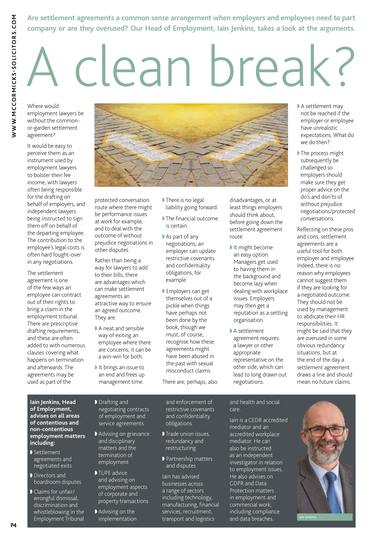### **Are settlement agreements a common sense arrangement when employers and employees need to part company or are they overused? Our Head of Employment, Iain Jenkins, takes a look at the arguments.**

# A clean break?

Where would employment lawyers be without the commonor-garden settlement agreement?

WWW.MCCORMICKS-SOLICITORS.COM

It would be easy to perceive them as an instrument used by employment lawyers to bolster their fee income, with lawyers often being responsible for the drafting on behalf of employers, and independent lawyers being instructed to sign them off on behalf of the departing employee. The contribution to the employee's legal costs is often hard fought-over in any negotiations.

The settlement agreement is one of the few ways an employee can contract out of their rights to bring a claim in the employment tribunal. There are prescriptive drafting requirements, and these are often added to with numerous clauses covering what happens on termination and afterwards. The agreements may be used as part of the



protected conversation route where there might be performance issues at work for example, and to deal with the outcome of without prejudice negotiations in other disputes.

Rather than being a way for lawyers to add to their bills, there are advantages which can make settlement agreements an attractive way to ensure an agreed outcome. They are:

- $\blacktriangleright$  A neat and sensible way of exiting an employee where there are concerns; it can be a win-win for both.
- $\blacktriangleright$  It brings an issue to an end and frees up management time.
- I There is no legal liability going forward.
- $\blacktriangleright$  The financial outcome is certain.
- $\blacktriangleright$  As part of any negotiations, an employer can update restrictive covenants and confidentiality obligations, for example.
- ▶ Employers can get themselves out of a pickle when things have perhaps not been done by the book, though we must, of course, recognise how these agreements might have been abused in the past with sexual misconduct claims.
- There are, perhaps, also

disadvantages, or at least things employers should think about, before going down the settlement agreement route:

- It might become an easy option. Managers get used to having them in the background and become lazy when dealing with workplace issues. Employers may then get a reputation as a settling organisation.
- $\blacktriangleright$  A settlement agreement requires a lawyer or other appropriate representative on the other side, which can lead to long drawn out negotiations.
- A settlement may not be reached if the employer or employee have unrealistic expectations. What do we do then?
- I The process might subsequently be challenged so employers should make sure they get proper advice on the do's and don'ts of without prejudice negotiations/protected conversations.

Reflecting on these pros and cons, settlement agreements are a useful tool for both employer and employee. Indeed, there is no reason why employees cannot suggest them if they are looking for a negotiated outcome. They should not be used by management to abdicate their HR responsibilities. It might be said that they are overused in some obvious redundancy situations, but at the end of the day a settlement agreement draws a line and should mean no future claims.

#### **Iain Jenkins, Head of Employment, advises on all areas of contentious and non-contentious employment matters including:**

- $\blacktriangleright$  Settlement agreements and negotiated exits
- Directors and boardroom disputes
- Claims for unfair/ wrongful dismissal, discrimination and whistleblowing in the Employment Tribunal
- D Drafting and negotiating contracts of employment and
- Advising on grievance and disciplinary matters and the termination of employment

service agreements

- $\blacktriangleright$  TUPE advice and advising on employment aspects of corporate and property transactions
- Advising on the implementation
- and enforcement of restrictive covenants and confidentiality obligations
- Trade union issues, redundancy and restructuring
- **Partnership matters** and disputes

Iain has advised businesses across a range of sectors including technology, manufacturing, financial services, recruitment, transport and logistics

#### and health and social care.

Iain is a CEDR accredited mediator and an accredited workplace mediator. He can also be instructed as an independent investigator in relation to employment issues. He also advises on GDPR and Data Protection matters in employment and commercial work, including compliance and data breaches.

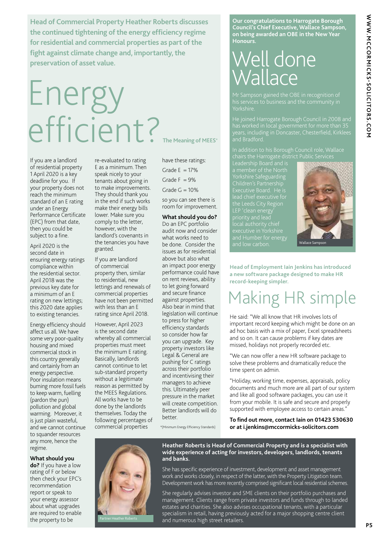WWW.MCCORMICKS-SOLICITORS.COM **WWW.MCCORMICKS-SOLICITORS.COM** 

**Head of Commercial Property Heather Roberts discusses the continued tightening of the energy efficiency regime for residential and commercial properties as part of the fight against climate change and, importantly, the preservation of asset value.**

## Energy efficient? **The Meaning of MEES\***

If you are a landlord of residential property 1 April 2020 is a key deadline for you. If your property does not reach the minimum standard of an E rating under an Energy Performance Certificate (EPC) from that date, then you could be subject to a fine.

April 2020 is the second date in ensuring energy ratings compliance within the residential sector. April 2018 was the previous key date for a minimum of an E rating on new lettings; this 2020 date applies to existing tenancies.

Energy efficiency should affect us all. We have some very poor-quality housing and mixed commercial stock in this country generally and certainly from an energy perspective. Poor insulation means burning more fossil fuels to keep warm, fuelling (pardon the pun) pollution and global warming. Moreover, it is just plain wasteful, and we cannot continue to squander resources any more, hence the regime.

re-evaluated to rating E as a minimum. Then speak nicely to your tenants about going in to make improvements. They should thank you in the end if such works make their energy bills lower. Make sure you comply to the letter, however, with the landlord's covenants in the tenancies you have granted.

If you are landlord of commercial property then, similar to residential, new lettings and renewals of commercial properties have not been permitted with less than an E rating since April 2018.

However, April 2023 is the second date whereby all commercial properties must meet the minimum E rating. Basically, landlords cannot continue to let sub-standard property without a legitimate reason as permitted by the MEES Regulations. All works have to be done by the landlords themselves. Today the following percentages of commercial properties

have these ratings:

Grade  $E = 17\%$ 

Grade  $F = 9\%$ 

Grade  $G = 10%$ 

so you can see there is room for improvement.

**What should you do?**  Do an EPC portfolio audit now and consider what works need to be done. Consider the issues as for residential above but also what an impact poor energy performance could have on rent reviews, ability to let going forward and secure finance against properties. Also bear in mind that legislation will continue to press for higher efficiency standards so consider how far you can upgrade. Key property investors like Legal & General are pushing for C ratings across their portfolio and incentivising their managers to achieve this. Ultimately peer pressure in the market will create competition. Better landlords will do better.

\*(Minimum Energy Efficiency Standards)

**Our congratulations to Harrogate Borough Council's Chief Executive, Wallace Sampson, on being awarded an OBE in the New Year Honours.**

## Well done **Vallace**

Yorkshire.

He joined Harrogate Borough Council in 2008 and

Children's Partnership the Leeds City Region and Humber for energy



**Head of Employment Iain Jenkins has introduced a new software package designed to make HR record-keeping simpler.**

### Making HR simple

He said: "We all know that HR involves lots of important record keeping which might be done on an ad hoc basis with a mix of paper, Excel spreadsheets and so on. It can cause problems if key dates are missed, holidays not properly recorded etc.

"We can now offer a new HR software package to solve these problems and dramatically reduce the time spent on admin.

"Holiday, working time, expenses, appraisals, policy documents and much more are all part of our system and like all good software packages, you can use it from your mobile. It is safe and secure and properly supported with employee access to certain areas."

**To find out more, contact Iain on 01423 530630 or at i.jenkins@mccormicks-solicitors.com**

**What should you** 

**do?** If you have a low rating of F or below then check your EPC's recommendation report or speak to your energy assessor about what upgrades are required to enable the property to be



**Heather Roberts is Head of Commercial Property and is a specialist with wide experience of acting for investors, developers, landlords, tenants and banks.**

She has specific experience of investment, development and asset management work and works closely, in respect of the latter, with the Property Litigation team. Development work has more recently comprised significant local residential schemes.

She regularly advises investor and SME clients on their portfolio purchases and management. Clients range from private investors and funds through to landed estates and charities. She also advises occupational tenants, with a particular specialism in retail, having previously acted for a major shopping centre client and numerous high street retailers.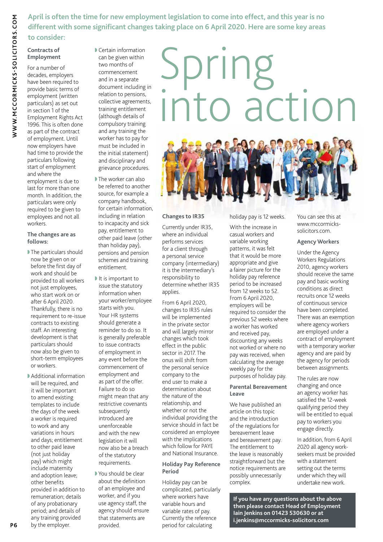**April is often the time for new employment legislation to come into effect, and this year is no different with some significant changes taking place on 6 April 2020. Here are some key areas** 

### **to consider:**

**Contracts of Employment** For a number of

decades, employers have been required to provide basic terms of employment (written particulars) as set out in section 1 of the Employment Rights Act 1996. This is often done as part of the contract of employment. Until now employers have had time to provide the particulars following start of employment and where the employment is due to last for more than one month. In addition, the particulars were only required to be given to employees and not all workers.

#### **The changes are as follows:**

- $\blacktriangleright$  The particulars should now be given on or before the first day of work and should be provided to all workers not just employees, who start work on or after 6 April 2020. Thankfully, there is no requirement to re-issue contracts to existing staff. An interesting development is that particulars should now also be given to short-term employees or workers.
- Additional information will be required, and it will be important to amend existing templates to include the days of the week a worker is required to work and any variations in hours and days; entitlement to other paid leave (not just holiday pay) which might include maternity and adoption leave; other benefits provided in addition to remuneration; details of any probationary period; and details of any training provided by the employer.

 $\blacktriangleright$  Certain information can be given within two months of commencement and in a separate document including in relation to pensions, collective agreements, training entitlement (although details of compulsory training and any training the worker has to pay for must be included in the initial statement) and disciplinary and grievance procedures.

- I The worker can also be referred to another source, for example a company handbook, for certain information, including in relation to incapacity and sick pay, entitlement to other paid leave (other than holiday pay), pensions and pension schemes and training entitlement.
- $\blacksquare$  It is important to issue the statutory information when your worker/employee starts with you. Your HR systems should generate a reminder to do so. It is generally preferable to issue contracts of employment in any event before the commencement of employment and as part of the offer. Failure to do so might mean that any restrictive covenants subsequently introduced are unenforceable and with the new legislation it will now also be a breach of the statutory requirements.
- You should be clear about the definition of an employee and worker, and if you use agency staff, the agency should ensure that statements are provided.

## Spring into action



### **Changes to IR35**

Currently under IR35, where an individual performs services for a client through a personal service company (intermediary) it is the intermediary's responsibility to determine whether IR35 applies.

From 6 April 2020, changes to IR35 rules will be implemented in the private sector and will largely mirror changes which took effect in the public sector in 2017. The onus will shift from the personal service company to the end user to make a determination about the nature of the relationship, and whether or not the individual providing the service should in fact be considered an employee with the implications which follow for PAYE and National Insurance.

### **Holiday Pay Reference Period**

Holiday pay can be complicated, particularly where workers have variable hours and variable rates of pay. Currently the reference period for calculating

holiday pay is 12 weeks.

With the increase in casual workers and variable working patterns, it was felt that it would be more appropriate and give a fairer picture for the holiday pay reference period to be increased from 12 weeks to 52. From 6 April 2020, employers will be required to consider the previous 52 weeks where a worker has worked and received pay, discounting any weeks not worked or where no pay was received, when calculating the average weekly pay for the purposes of holiday pay.

### **Parental Bereavement Leave**

We have published an article on this topic and the introduction of the regulations for bereavement leave and bereavement pay. The entitlement to the leave is reasonably straightforward but the notice requirements are possibly unnecessarily complex.

You can see this at www.mccormickssolicitors.com.

### **Agency Workers**

Under the Agency Workers Regulations 2010, agency workers should receive the same pay and basic working conditions as direct recruits once 12 weeks of continuous service have been completed. There was an exemption where agency workers are employed under a contract of employment with a temporary worker agency and are paid by the agency for periods between assignments.

The rules are now changing and once an agency worker has satisfied the 12-week qualifying period they will be entitled to equal pay to workers you engage directly.

In addition, from 6 April 2020 all agency workseekers must be provided with a statement setting out the terms under which they will undertake new work.

**If you have any questions about the above then please contact Head of Employment Iain Jenkins on 01423 530630 or at i.jenkins@mccormicks-solicitors.com**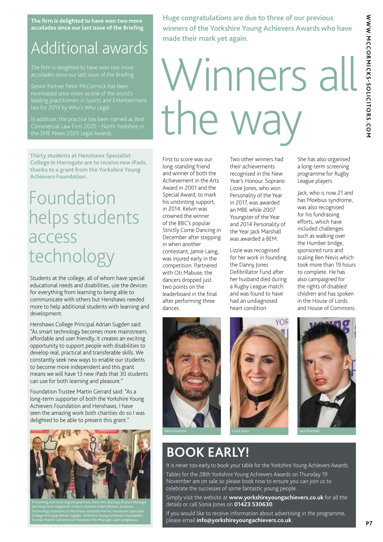**The firm is delighted to have won two more accolades since our last issue of the Briefing.**

### Additional awards

accolades since our last issue of the Briefing.

leading practitioners in Sports and Entertainment law for 2019 by Who's Who Legal.

In addition, the practice has been named as Best the SME News 2020 Legal Awards.

**Thirty students at Henshaws Specialist College in Harrogate are to receive new iPads, thanks to a grant from the Yorkshire Young Achievers Foundation.**

### Foundation helps students access technology

Students at the college, all of whom have special educational needs and disabilities, use the devices for everything from learning to being able to communicate with others but Henshaws needed more to help additional students with learning and development.

Henshaws College Principal Adrian Sugden said: "As smart technology becomes more mainstream, affordable and user friendly, it creates an exciting opportunity to support people with disabilities to develop real, practical and transferable skills. We constantly seek new ways to enable our students to become more independent and this grant means we will have 13 new iPads that 30 students can use for both learning and pleasure."

Foundation Trustee Martin Gerrard said: "As a long-term supporter of both the Yorkshire Young Achievers Foundation and Henshaws, I have seen the amazing work both charities do so I was delighted to be able to present this grant."



Technology Assistant at Henshaws Amanda Martin, Henshaws Specialist College Principal Adrian Sugden, Yorkshire Young Achievers Foundation

**Huge congratulations are due to three of our previous winners of the Yorkshire Young Achievers Awards who have made their mark yet again.**

# Winners all the way

First to score was our long-standing friend and winner of both the Achievement in the Arts Award in 2001 and the Special Award, to mark his unstinting support, in 2014. Kelvin was crowned the winner of the BBC's popular Strictly Come Dancing in December after stepping in when another contestant, Jamie Laing, was injured early in the competition. Partnered with Oti Mabuse, the dancers dropped just two points on the leaderboard in the final after performing three dances.

Two other winners had their achievements recognised in the New Year's Honour. Soprano Lizzie Jones, who won Personality of the Year in 2017, was awarded an MBE while 2007 Youngster of the Year and 2014 Personality of the Year Jack Marshall was awarded a BEM.

Lizzie was recognised for her work in founding the Danny Jones Defibrillator Fund after her husband died during a Rugby League match and was found to have had an undiagnosed heart condition.



Jack, who is now 21 and has Moebius syndrome, was also recognised for his fundraising efforts, which have included challenges such as walking over the Humber bridge, sponsored runs and scaling Ben Nevis which took more than 19 hours to complete. He has also campaigned for the rights of disabled children and has spoken in the House of Lords and House of Commons.







### **BOOK EARLY!**

It is never too early to book your table for the Yorkshire Young Achievers Awards. Tables for the 28th Yorkshire Young Achievers Awards on Thursday 19 November are on sale so please book now to ensure you can join us to celebrate the successes of some fantastic young people.

Simply visit the website at **www.yorkshireyoungachievers.co.uk** for all the details or call Sonia Jones on **01423 530630**.

If you would like to receive information about advertising in the programme, please email **info@yorkshireyoungachievers.co.uk**.